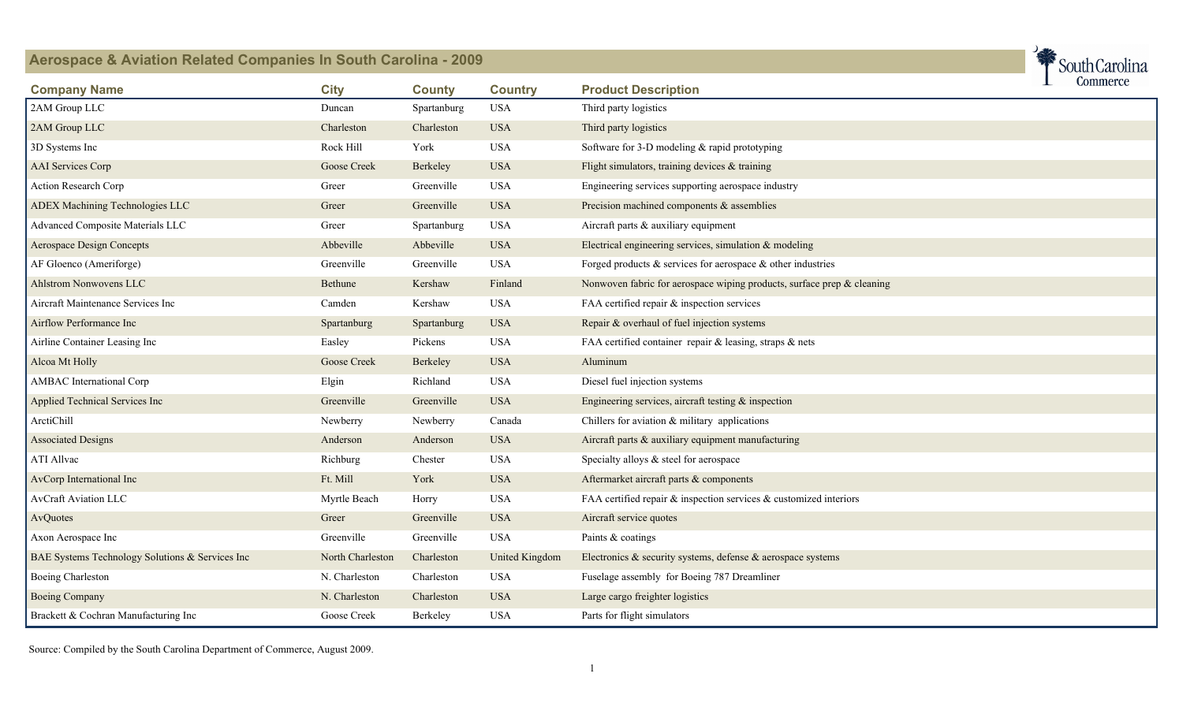

| <b>Company Name</b>                             | <b>City</b>      | <b>County</b> | <b>Country</b> | <b>Product Description</b>                                              | ᅩ | commerce |
|-------------------------------------------------|------------------|---------------|----------------|-------------------------------------------------------------------------|---|----------|
| 2AM Group LLC                                   | Duncan           | Spartanburg   | <b>USA</b>     | Third party logistics                                                   |   |          |
| 2AM Group LLC                                   | Charleston       | Charleston    | <b>USA</b>     | Third party logistics                                                   |   |          |
| 3D Systems Inc                                  | Rock Hill        | York          | <b>USA</b>     | Software for 3-D modeling $&$ rapid prototyping                         |   |          |
| <b>AAI</b> Services Corp                        | Goose Creek      | Berkeley      | <b>USA</b>     | Flight simulators, training devices & training                          |   |          |
| Action Research Corp                            | Greer            | Greenville    | <b>USA</b>     | Engineering services supporting aerospace industry                      |   |          |
| <b>ADEX Machining Technologies LLC</b>          | Green            | Greenville    | <b>USA</b>     | Precision machined components & assemblies                              |   |          |
| <b>Advanced Composite Materials LLC</b>         | Greer            | Spartanburg   | <b>USA</b>     | Aircraft parts & auxiliary equipment                                    |   |          |
| <b>Aerospace Design Concepts</b>                | Abbeville        | Abbeville     | <b>USA</b>     | Electrical engineering services, simulation $\&$ modeling               |   |          |
| AF Gloenco (Ameriforge)                         | Greenville       | Greenville    | <b>USA</b>     | Forged products $\&$ services for aerospace $\&$ other industries       |   |          |
| <b>Ahlstrom Nonwovens LLC</b>                   | Bethune          | Kershaw       | Finland        | Nonwoven fabric for aerospace wiping products, surface prep & cleaning  |   |          |
| Aircraft Maintenance Services Inc               | Camden           | Kershaw       | <b>USA</b>     | FAA certified repair & inspection services                              |   |          |
| Airflow Performance Inc                         | Spartanburg      | Spartanburg   | <b>USA</b>     | Repair & overhaul of fuel injection systems                             |   |          |
| Airline Container Leasing Inc                   | Easley           | Pickens       | <b>USA</b>     | FAA certified container repair & leasing, straps & nets                 |   |          |
| Alcoa Mt Holly                                  | Goose Creek      | Berkeley      | <b>USA</b>     | Aluminum                                                                |   |          |
| AMBAC International Corp                        | Elgin            | Richland      | <b>USA</b>     | Diesel fuel injection systems                                           |   |          |
| Applied Technical Services Inc                  | Greenville       | Greenville    | <b>USA</b>     | Engineering services, aircraft testing $\&$ inspection                  |   |          |
| ArctiChill                                      | Newberry         | Newberry      | Canada         | Chillers for aviation $&$ military applications                         |   |          |
| <b>Associated Designs</b>                       | Anderson         | Anderson      | <b>USA</b>     | Aircraft parts & auxiliary equipment manufacturing                      |   |          |
| ATI Allvac                                      | Richburg         | Chester       | <b>USA</b>     | Specialty alloys & steel for aerospace                                  |   |          |
| AvCorp International Inc                        | Ft. Mill         | York          | <b>USA</b>     | Aftermarket aircraft parts & components                                 |   |          |
| <b>AvCraft Aviation LLC</b>                     | Myrtle Beach     | Horry         | <b>USA</b>     | FAA certified repair $\&$ inspection services $\&$ customized interiors |   |          |
| AvQuotes                                        | Green            | Greenville    | <b>USA</b>     | Aircraft service quotes                                                 |   |          |
| Axon Aerospace Inc                              | Greenville       | Greenville    | <b>USA</b>     | Paints & coatings                                                       |   |          |
| BAE Systems Technology Solutions & Services Inc | North Charleston | Charleston    | United Kingdom | Electronics $\&$ security systems, defense $\&$ aerospace systems       |   |          |
| <b>Boeing Charleston</b>                        | N. Charleston    | Charleston    | <b>USA</b>     | Fuselage assembly for Boeing 787 Dreamliner                             |   |          |
| <b>Boeing Company</b>                           | N. Charleston    | Charleston    | <b>USA</b>     | Large cargo freighter logistics                                         |   |          |
| Brackett & Cochran Manufacturing Inc            | Goose Creek      | Berkeley      | <b>USA</b>     | Parts for flight simulators                                             |   |          |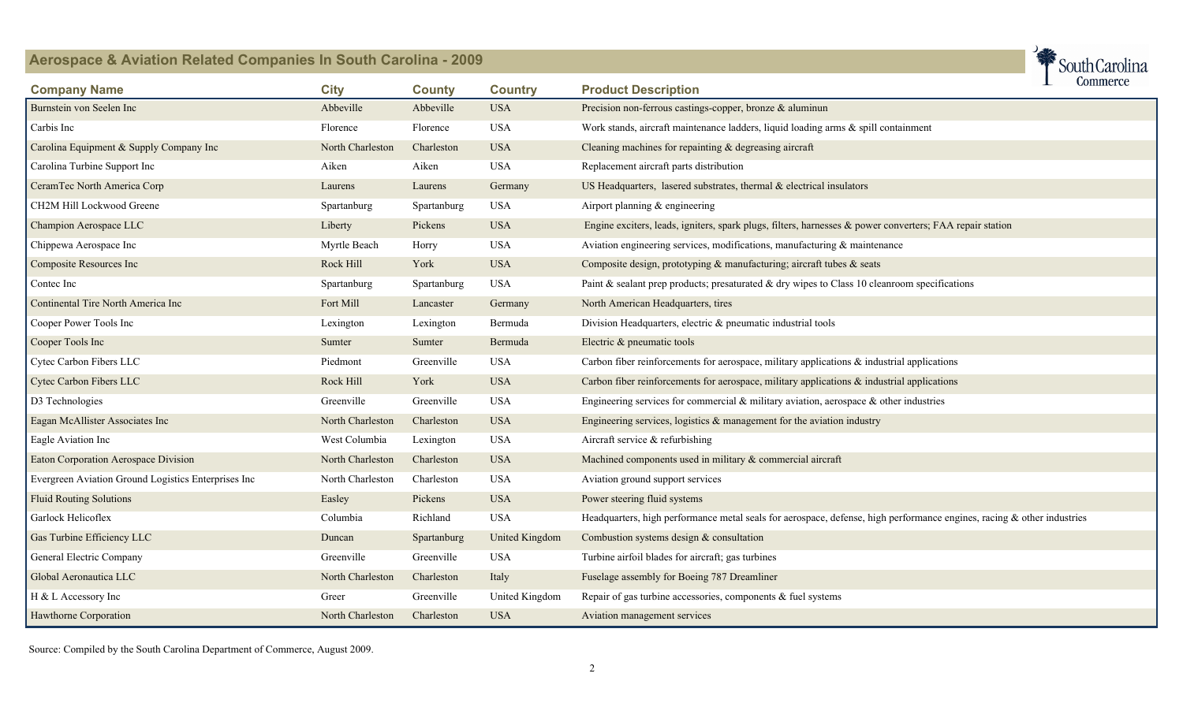

| <b>Company Name</b>                                 | <b>City</b>      | <b>County</b> | <b>Country</b>        | <b>Product Description</b>                                                                                                | <u>oommore</u> |  |
|-----------------------------------------------------|------------------|---------------|-----------------------|---------------------------------------------------------------------------------------------------------------------------|----------------|--|
| Burnstein von Seelen Inc                            | Abbeville        | Abbeville     | <b>USA</b>            | Precision non-ferrous castings-copper, bronze $\&$ aluminun                                                               |                |  |
| Carbis Inc                                          | Florence         | Florence      | <b>USA</b>            | Work stands, aircraft maintenance ladders, liquid loading arms & spill containment                                        |                |  |
| Carolina Equipment & Supply Company Inc             | North Charleston | Charleston    | <b>USA</b>            | Cleaning machines for repainting $&$ degreasing aircraft                                                                  |                |  |
| Carolina Turbine Support Inc                        | Aiken            | Aiken         | <b>USA</b>            | Replacement aircraft parts distribution                                                                                   |                |  |
| CeramTec North America Corp                         | Laurens          | Laurens       | Germany               | US Headquarters, lasered substrates, thermal $\&$ electrical insulators                                                   |                |  |
| CH2M Hill Lockwood Greene                           | Spartanburg      | Spartanburg   | <b>USA</b>            | Airport planning & engineering                                                                                            |                |  |
| Champion Aerospace LLC                              | Liberty          | Pickens       | <b>USA</b>            | Engine exciters, leads, igniters, spark plugs, filters, harnesses & power converters; FAA repair station                  |                |  |
| Chippewa Aerospace Inc                              | Myrtle Beach     | Horry         | <b>USA</b>            | Aviation engineering services, modifications, manufacturing $\&$ maintenance                                              |                |  |
| Composite Resources Inc                             | Rock Hill        | York          | <b>USA</b>            | Composite design, prototyping & manufacturing; aircraft tubes & seats                                                     |                |  |
| Contec Inc                                          | Spartanburg      | Spartanburg   | <b>USA</b>            | Paint $\&$ sealant prep products; presaturated $\&$ dry wipes to Class 10 cleanroom specifications                        |                |  |
| Continental Tire North America Inc                  | Fort Mill        | Lancaster     | Germany               | North American Headquarters, tires                                                                                        |                |  |
| Cooper Power Tools Inc                              | Lexington        | Lexington     | Bermuda               | Division Headquarters, electric & pneumatic industrial tools                                                              |                |  |
| Cooper Tools Inc                                    | Sumter           | Sumter        | Bermuda               | Electric & pneumatic tools                                                                                                |                |  |
| Cytec Carbon Fibers LLC                             | Piedmont         | Greenville    | <b>USA</b>            | Carbon fiber reinforcements for aerospace, military applications $\&$ industrial applications                             |                |  |
| Cytec Carbon Fibers LLC                             | Rock Hill        | York          | <b>USA</b>            | Carbon fiber reinforcements for aerospace, military applications $\&$ industrial applications                             |                |  |
| D3 Technologies                                     | Greenville       | Greenville    | <b>USA</b>            | Engineering services for commercial $\&$ military aviation, aerospace $\&$ other industries                               |                |  |
| Eagan McAllister Associates Inc                     | North Charleston | Charleston    | <b>USA</b>            | Engineering services, logistics $\&$ management for the aviation industry                                                 |                |  |
| Eagle Aviation Inc                                  | West Columbia    | Lexington     | <b>USA</b>            | Aircraft service & refurbishing                                                                                           |                |  |
| Eaton Corporation Aerospace Division                | North Charleston | Charleston    | <b>USA</b>            | Machined components used in military & commercial aircraft                                                                |                |  |
| Evergreen Aviation Ground Logistics Enterprises Inc | North Charleston | Charleston    | <b>USA</b>            | Aviation ground support services                                                                                          |                |  |
| <b>Fluid Routing Solutions</b>                      | Easley           | Pickens       | <b>USA</b>            | Power steering fluid systems                                                                                              |                |  |
| Garlock Helicoflex                                  | Columbia         | Richland      | <b>USA</b>            | Headquarters, high performance metal seals for aerospace, defense, high performance engines, racing $\&$ other industries |                |  |
| Gas Turbine Efficiency LLC                          | Duncan           | Spartanburg   | <b>United Kingdom</b> | Combustion systems design $&$ consultation                                                                                |                |  |
| General Electric Company                            | Greenville       | Greenville    | <b>USA</b>            | Turbine airfoil blades for aircraft; gas turbines                                                                         |                |  |
| Global Aeronautica LLC                              | North Charleston | Charleston    | Italy                 | Fuselage assembly for Boeing 787 Dreamliner                                                                               |                |  |
| H & L Accessory Inc                                 | Greer            | Greenville    | United Kingdom        | Repair of gas turbine accessories, components & fuel systems                                                              |                |  |
| Hawthorne Corporation                               | North Charleston | Charleston    | <b>USA</b>            | Aviation management services                                                                                              |                |  |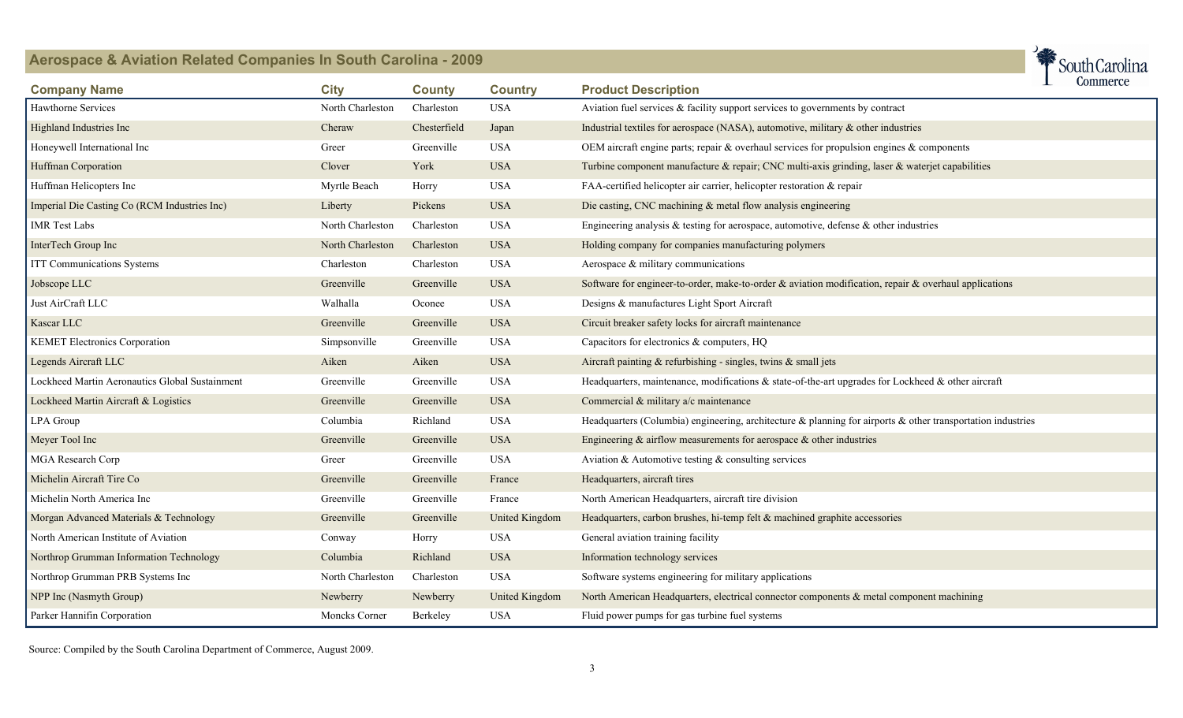

| <b>Company Name</b>                            | <b>City</b>      | <b>County</b> | <b>Country</b>        | ᅩ<br><b>Product Description</b>                                                                                   | <b>CONNINGLE</b> |
|------------------------------------------------|------------------|---------------|-----------------------|-------------------------------------------------------------------------------------------------------------------|------------------|
| <b>Hawthorne Services</b>                      | North Charleston | Charleston    | <b>USA</b>            | Aviation fuel services $\&$ facility support services to governments by contract                                  |                  |
| Highland Industries Inc                        | Cheraw           | Chesterfield  | Japan                 | Industrial textiles for aerospace (NASA), automotive, military $\&$ other industries                              |                  |
| Honeywell International Inc                    | Greer            | Greenville    | <b>USA</b>            | OEM aircraft engine parts; repair $\&$ overhaul services for propulsion engines $\&$ components                   |                  |
| Huffman Corporation                            | Clover           | York          | <b>USA</b>            | Turbine component manufacture & repair; CNC multi-axis grinding, laser & waterjet capabilities                    |                  |
| Huffman Helicopters Inc                        | Myrtle Beach     | Horry         | <b>USA</b>            | FAA-certified helicopter air carrier, helicopter restoration & repair                                             |                  |
| Imperial Die Casting Co (RCM Industries Inc)   | Liberty          | Pickens       | <b>USA</b>            | Die casting, CNC machining & metal flow analysis engineering                                                      |                  |
| <b>IMR</b> Test Labs                           | North Charleston | Charleston    | <b>USA</b>            | Engineering analysis $\&$ testing for aerospace, automotive, defense $\&$ other industries                        |                  |
| InterTech Group Inc                            | North Charleston | Charleston    | <b>USA</b>            | Holding company for companies manufacturing polymers                                                              |                  |
| ITT Communications Systems                     | Charleston       | Charleston    | <b>USA</b>            | Aerospace $\&$ military communications                                                                            |                  |
| Jobscope LLC                                   | Greenville       | Greenville    | <b>USA</b>            | Software for engineer-to-order, make-to-order $\&$ aviation modification, repair $\&$ overhaul applications       |                  |
| Just AirCraft LLC                              | Walhalla         | Oconee        | <b>USA</b>            | Designs & manufactures Light Sport Aircraft                                                                       |                  |
| Kascar LLC                                     | Greenville       | Greenville    | <b>USA</b>            | Circuit breaker safety locks for aircraft maintenance                                                             |                  |
| <b>KEMET Electronics Corporation</b>           | Simpsonville     | Greenville    | <b>USA</b>            | Capacitors for electronics & computers, HQ                                                                        |                  |
| Legends Aircraft LLC                           | Aiken            | Aiken         | <b>USA</b>            | Aircraft painting $\&$ refurbishing - singles, twins $\&$ small jets                                              |                  |
| Lockheed Martin Aeronautics Global Sustainment | Greenville       | Greenville    | <b>USA</b>            | Headquarters, maintenance, modifications $\&$ state-of-the-art upgrades for Lockheed $\&$ other aircraft          |                  |
| Lockheed Martin Aircraft & Logistics           | Greenville       | Greenville    | <b>USA</b>            | Commercial & military a/c maintenance                                                                             |                  |
| LPA Group                                      | Columbia         | Richland      | <b>USA</b>            | Headquarters (Columbia) engineering, architecture $\&$ planning for airports $\&$ other transportation industries |                  |
| Meyer Tool Inc                                 | Greenville       | Greenville    | <b>USA</b>            | Engineering $\&$ airflow measurements for aerospace $\&$ other industries                                         |                  |
| MGA Research Corp                              | Greer            | Greenville    | <b>USA</b>            | Aviation & Automotive testing $\&$ consulting services                                                            |                  |
| Michelin Aircraft Tire Co                      | Greenville       | Greenville    | France                | Headquarters, aircraft tires                                                                                      |                  |
| Michelin North America Inc                     | Greenville       | Greenville    | France                | North American Headquarters, aircraft tire division                                                               |                  |
| Morgan Advanced Materials & Technology         | Greenville       | Greenville    | <b>United Kingdom</b> | Headquarters, carbon brushes, hi-temp felt & machined graphite accessories                                        |                  |
| North American Institute of Aviation           | Conway           | Horry         | <b>USA</b>            | General aviation training facility                                                                                |                  |
| Northrop Grumman Information Technology        | Columbia         | Richland      | <b>USA</b>            | Information technology services                                                                                   |                  |
| Northrop Grumman PRB Systems Inc               | North Charleston | Charleston    | <b>USA</b>            | Software systems engineering for military applications                                                            |                  |
| NPP Inc (Nasmyth Group)                        | Newberry         | Newberry      | United Kingdom        | North American Headquarters, electrical connector components & metal component machining                          |                  |
| Parker Hannifin Corporation                    | Moncks Corner    | Berkeley      | <b>USA</b>            | Fluid power pumps for gas turbine fuel systems                                                                    |                  |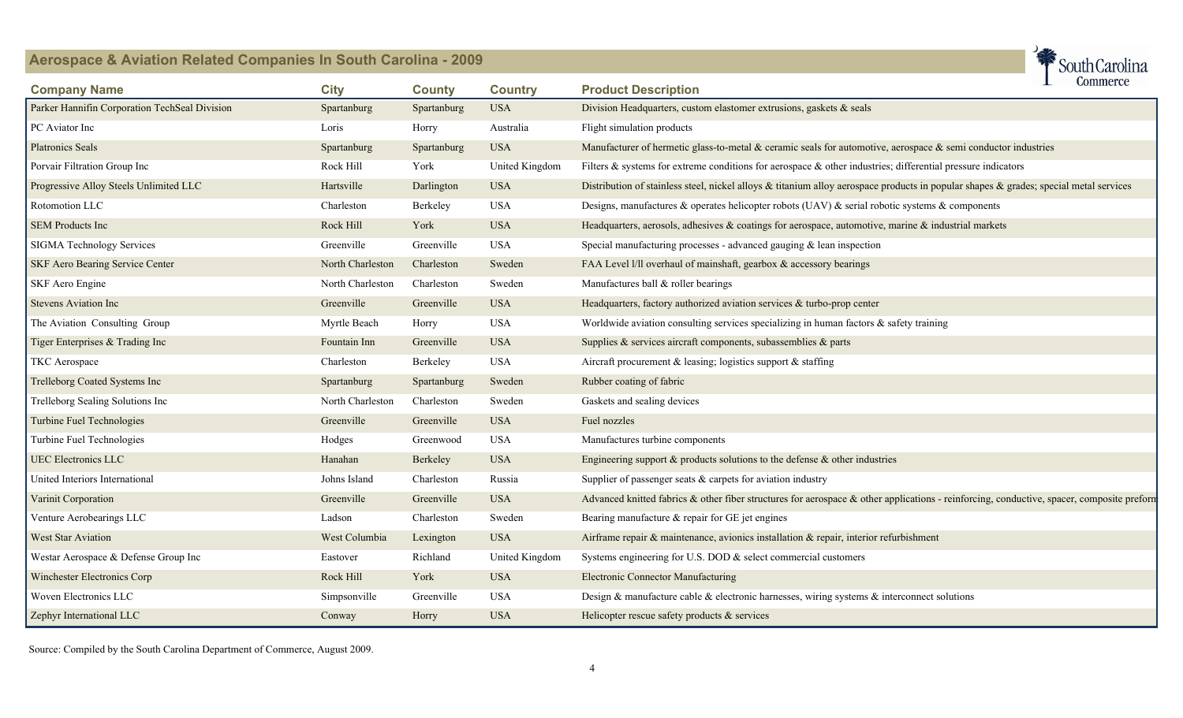

| <b>Company Name</b>                           | <b>City</b>      | <b>County</b> | <b>Country</b> | commerce<br><b>Product Description</b>                                                                                                    |
|-----------------------------------------------|------------------|---------------|----------------|-------------------------------------------------------------------------------------------------------------------------------------------|
| Parker Hannifin Corporation TechSeal Division | Spartanburg      | Spartanburg   | <b>USA</b>     | Division Headquarters, custom elastomer extrusions, gaskets & seals                                                                       |
| PC Aviator Inc                                | Loris            | Horry         | Australia      | Flight simulation products                                                                                                                |
| <b>Platronics Seals</b>                       | Spartanburg      | Spartanburg   | <b>USA</b>     | Manufacturer of hermetic glass-to-metal $\&$ ceramic seals for automotive, aerospace $\&$ semi conductor industries                       |
| Porvair Filtration Group Inc                  | Rock Hill        | York          | United Kingdom | Filters & systems for extreme conditions for aerospace & other industries; differential pressure indicators                               |
| Progressive Alloy Steels Unlimited LLC        | Hartsville       | Darlington    | <b>USA</b>     | Distribution of stainless steel, nickel alloys & titanium alloy aerospace products in popular shapes & grades; special metal services     |
| Rotomotion LLC                                | Charleston       | Berkeley      | <b>USA</b>     | Designs, manufactures & operates helicopter robots (UAV) $\&$ serial robotic systems $\&$ components                                      |
| <b>SEM Products Inc</b>                       | Rock Hill        | York          | <b>USA</b>     | Headquarters, aerosols, adhesives & coatings for aerospace, automotive, marine & industrial markets                                       |
| SIGMA Technology Services                     | Greenville       | Greenville    | <b>USA</b>     | Special manufacturing processes - advanced gauging $\&$ lean inspection                                                                   |
| SKF Aero Bearing Service Center               | North Charleston | Charleston    | Sweden         | FAA Level I/II overhaul of mainshaft, gearbox & accessory bearings                                                                        |
| SKF Aero Engine                               | North Charleston | Charleston    | Sweden         | Manufactures ball & roller bearings                                                                                                       |
| <b>Stevens Aviation Inc</b>                   | Greenville       | Greenville    | <b>USA</b>     | Headquarters, factory authorized aviation services $\&$ turbo-prop center                                                                 |
| The Aviation Consulting Group                 | Myrtle Beach     | Horry         | <b>USA</b>     | Worldwide aviation consulting services specializing in human factors $\&$ safety training                                                 |
| Tiger Enterprises & Trading Inc               | Fountain Inn     | Greenville    | <b>USA</b>     | Supplies $\&$ services aircraft components, subassemblies $\&$ parts                                                                      |
| TKC Aerospace                                 | Charleston       | Berkeley      | <b>USA</b>     | Aircraft procurement $\&$ leasing; logistics support $\&$ staffing                                                                        |
| Trelleborg Coated Systems Inc                 | Spartanburg      | Spartanburg   | Sweden         | Rubber coating of fabric                                                                                                                  |
| Trelleborg Sealing Solutions Inc              | North Charleston | Charleston    | Sweden         | Gaskets and sealing devices                                                                                                               |
| Turbine Fuel Technologies                     | Greenville       | Greenville    | <b>USA</b>     | Fuel nozzles                                                                                                                              |
| Turbine Fuel Technologies                     | Hodges           | Greenwood     | <b>USA</b>     | Manufactures turbine components                                                                                                           |
| <b>UEC Electronics LLC</b>                    | Hanahan          | Berkeley      | <b>USA</b>     | Engineering support $\&$ products solutions to the defense $\&$ other industries                                                          |
| United Interiors International                | Johns Island     | Charleston    | Russia         | Supplier of passenger seats $\&$ carpets for aviation industry                                                                            |
| Varinit Corporation                           | Greenville       | Greenville    | <b>USA</b>     | Advanced knitted fabrics & other fiber structures for aerospace & other applications - reinforcing, conductive, spacer, composite preform |
| Venture Aerobearings LLC                      | Ladson           | Charleston    | Sweden         | Bearing manufacture & repair for GE jet engines                                                                                           |
| West Star Aviation                            | West Columbia    | Lexington     | <b>USA</b>     | Airframe repair & maintenance, avionics installation & repair, interior refurbishment                                                     |
| Westar Aerospace & Defense Group Inc          | Eastover         | Richland      | United Kingdom | Systems engineering for U.S. DOD $\&$ select commercial customers                                                                         |
| Winchester Electronics Corp                   | Rock Hill        | York          | <b>USA</b>     | <b>Electronic Connector Manufacturing</b>                                                                                                 |
| Woven Electronics LLC                         | Simpsonville     | Greenville    | <b>USA</b>     | Design & manufacture cable & electronic harnesses, wiring systems $\&$ interconnect solutions                                             |
| Zephyr International LLC                      | Conway           | Horry         | <b>USA</b>     | Helicopter rescue safety products $\&$ services                                                                                           |